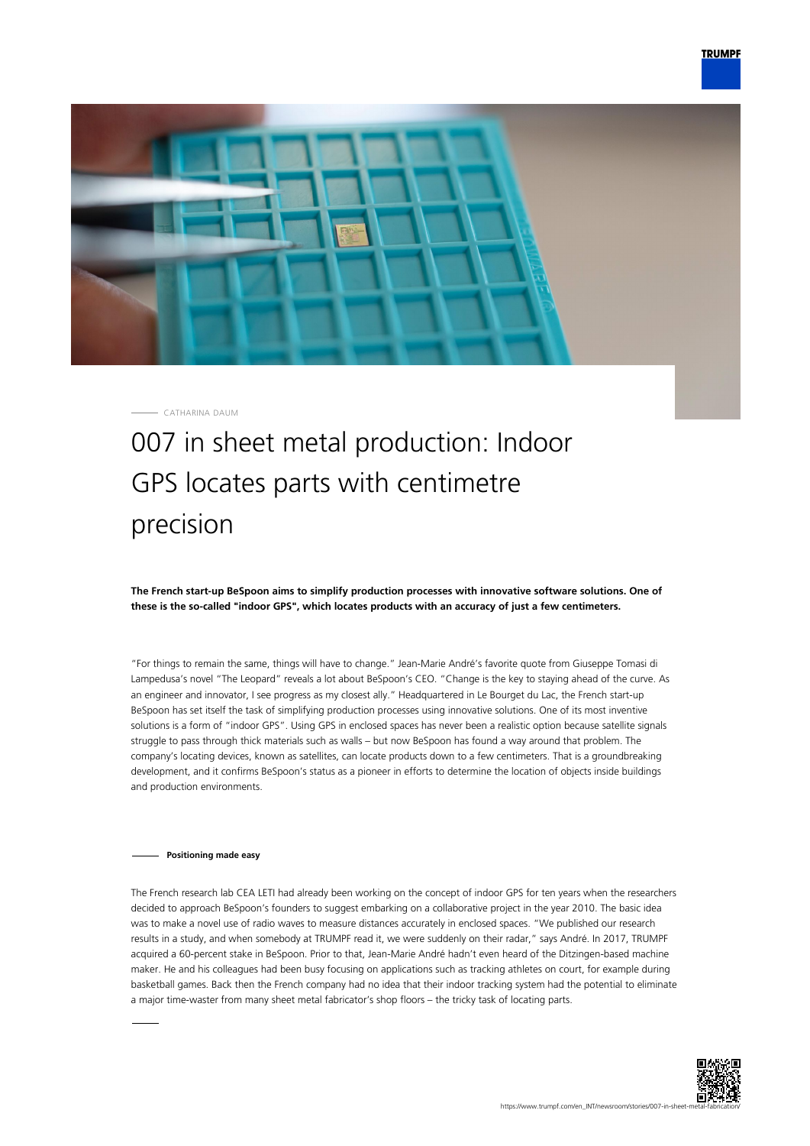

CATHARINA DAUM

# 007 in sheet metal production: Indoor GPS locates parts with centimetre precision

**The French start-up BeSpoon aims to simplify production processes with innovative software solutions. One of these is the so-called "indoor GPS", which locates products with an accuracy of just a few centimeters.**

"For things to remain the same, things will have to change." Jean-Marie André's favorite quote from Giuseppe Tomasi di Lampedusa's novel "The Leopard" reveals a lot about BeSpoon's CEO. "Change is the key to staying ahead of the curve. As an engineer and innovator, I see progress as my closest ally." Headquartered in Le Bourget du Lac, the French start-up BeSpoon has set itself the task of simplifying production processes using innovative solutions. One of its most inventive solutions is a form of "indoor GPS". Using GPS in enclosed spaces has never been a realistic option because satellite signals struggle to pass through thick materials such as walls – but now BeSpoon has found a way around that problem. The company's locating devices, known as satellites, can locate products down to a few centimeters. That is a groundbreaking development, and it confirms BeSpoon's status as a pioneer in efforts to determine the location of objects inside buildings and production environments.

# **Positioning made easy**

The French research lab CEA LETI had already been working on the concept of indoor GPS for ten years when the researchers decided to approach BeSpoon's founders to suggest embarking on a collaborative project in the year 2010. The basic idea was to make a novel use of radio waves to measure distances accurately in enclosed spaces. "We published our research results in a study, and when somebody at TRUMPF read it, we were suddenly on their radar," says André. In 2017, TRUMPF acquired a 60-percent stake in BeSpoon. Prior to that, Jean-Marie André hadn't even heard of the Ditzingen-based machine maker. He and his colleagues had been busy focusing on applications such as tracking athletes on court, for example during basketball games. Back then the French company had no idea that their indoor tracking system had the potential to eliminate a major time-waster from many sheet metal fabricator's shop floors – the tricky task of locating parts.

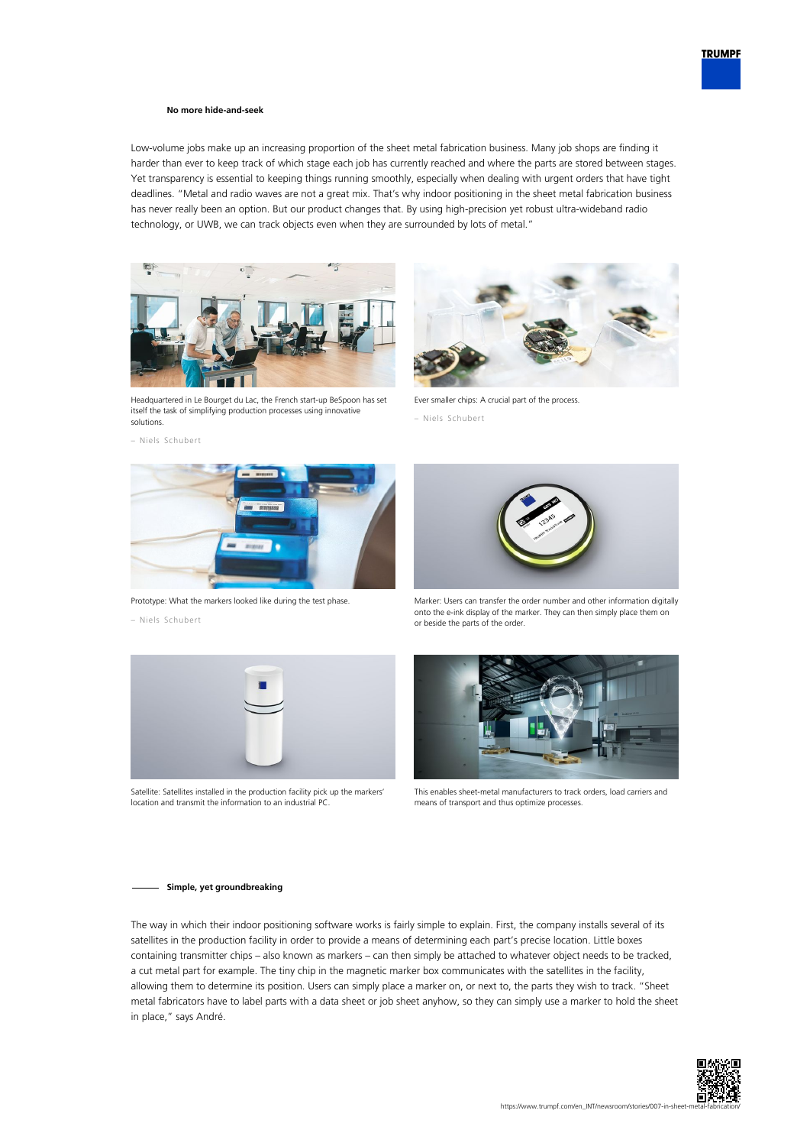### **No more hide-and-seek**

Low-volume jobs make up an increasing proportion of the sheet metal fabrication business. Many job shops are finding it harder than ever to keep track of which stage each job has currently reached and where the parts are stored between stages. Yet transparency is essential to keeping things running smoothly, especially when dealing with urgent orders that have tight deadlines. "Metal and radio waves are not a great mix. That's why indoor positioning in the sheet metal fabrication business has never really been an option. But our product changes that. By using high-precision yet robust ultra-wideband radio technology, or UWB, we can track objects even when they are surrounded by lots of metal."



Headquartered in Le Bourget du Lac, the French start-up BeSpoon has set itself the task of simplifying production processes using innovative solutions.





Prototype: What the markers looked like during the test phase.





Satellite: Satellites installed in the production facility pick up the markers' location and transmit the information to an industrial PC.



Ever smaller chips: A crucial part of the process.

– Niels Schubert



Marker: Users can transfer the order number and other information digitally onto the e-ink display of the marker. They can then simply place them on or beside the parts of the order.



This enables sheet-metal manufacturers to track orders, load carriers and means of transport and thus optimize processes.

#### **Simple, yet groundbreaking**

The way in which their indoor positioning software works is fairly simple to explain. First, the company installs several of its satellites in the production facility in order to provide a means of determining each part's precise location. Little boxes containing transmitter chips – also known as markers – can then simply be attached to whatever object needs to be tracked, a cut metal part for example. The tiny chip in the magnetic marker box communicates with the satellites in the facility, allowing them to determine its position. Users can simply place a marker on, or next to, the parts they wish to track. "Sheet metal fabricators have to label parts with a data sheet or job sheet anyhow, so they can simply use a marker to hold the sheet in place," says André.